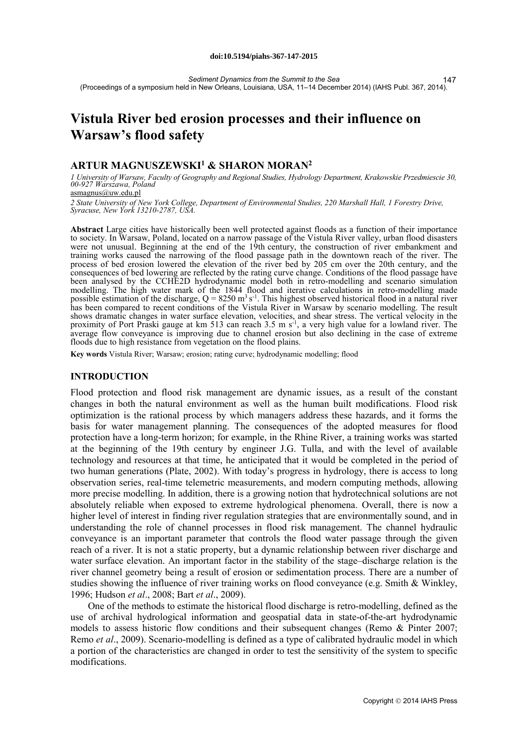*Sediment Dynamics from the Summit to the Sea* (Proceedings of a symposium held in New Orleans, Louisiana, USA, 11–14 December 2014) (IAHS Publ. 367, 2014). 147

# **Vistula River bed erosion processes and their influence on Warsaw's flood safety**

# **ARTUR MAGNUSZEWSKI1 & SHARON MORAN2**

*1 University of Warsaw, Faculty of Geography and Regional Studies, Hydrology Department, Krakowskie Przedmiescie 30, 00-927 Warszawa, Poland*  asmagnus@uw.edu.pl

*2 State University of New York College, Department of Environmental Studies, 220 Marshall Hall, 1 Forestry Drive, Syracuse, New York 13210-2787, USA.*

**Abstract** Large cities have historically been well protected against floods as a function of their importance to society. In Warsaw, Poland, located on a narrow passage of the Vistula River valley, urban flood disasters were not unusual. Beginning at the end of the 19th century, the construction of river embankment and training works caused the narrowing of the flood passage path in the downtown reach of the river. The process of bed erosion lowered the elevation of the river bed by 205 cm over the 20th century, and the consequences of bed lowering are reflected by the rating curve change. Conditions of the flood passage have been analysed by the CCHE2D hydrodynamic model both in retro-modelling and scenario simulation modelling. The high water mark of the 1844 flood and iterative calculations in retro-modelling made possible estimation of the discharge,  $Q = 8250 \text{ m}^3 \text{ s}^{-1}$ . This highest observed historical flood in a natural river has been compared to recent conditions of the Vistula River in Warsaw by scenario modelling. The result shows dramatic changes in water surface elevation, velocities, and shear stress. The vertical velocity in the proximity of Port Praski gauge at km 513 can reach 3.5 m  $s^{-1}$ , a very high value for a lowland river. The average flow conveyance is improving due to channel erosion but also declining in the case of extreme floods due to high resistance from vegetation on the flood plains.

**Key words** Vistula River; Warsaw; erosion; rating curve; hydrodynamic modelling; flood

## **INTRODUCTION**

Flood protection and flood risk management are dynamic issues, as a result of the constant changes in both the natural environment as well as the human built modifications. Flood risk optimization is the rational process by which managers address these hazards, and it forms the basis for water management planning. The consequences of the adopted measures for flood protection have a long-term horizon; for example, in the Rhine River, a training works was started at the beginning of the 19th century by engineer J.G. Tulla, and with the level of available technology and resources at that time, he anticipated that it would be completed in the period of two human generations (Plate, 2002). With today's progress in hydrology, there is access to long observation series, real-time telemetric measurements, and modern computing methods, allowing more precise modelling. In addition, there is a growing notion that hydrotechnical solutions are not absolutely reliable when exposed to extreme hydrological phenomena. Overall, there is now a higher level of interest in finding river regulation strategies that are environmentally sound, and in understanding the role of channel processes in flood risk management. The channel hydraulic conveyance is an important parameter that controls the flood water passage through the given reach of a river. It is not a static property, but a dynamic relationship between river discharge and water surface elevation. An important factor in the stability of the stage–discharge relation is the river channel geometry being a result of erosion or sedimentation process. There are a number of studies showing the influence of river training works on flood conveyance (e.g. Smith & Winkley, 1996; Hudson *et al*., 2008; Bart *et al*., 2009).

One of the methods to estimate the historical flood discharge is retro-modelling, defined as the use of archival hydrological information and geospatial data in state-of-the-art hydrodynamic models to assess historic flow conditions and their subsequent changes (Remo & Pinter 2007; Remo *et al*., 2009). Scenario-modelling is defined as a type of calibrated hydraulic model in which a portion of the characteristics are changed in order to test the sensitivity of the system to specific modifications.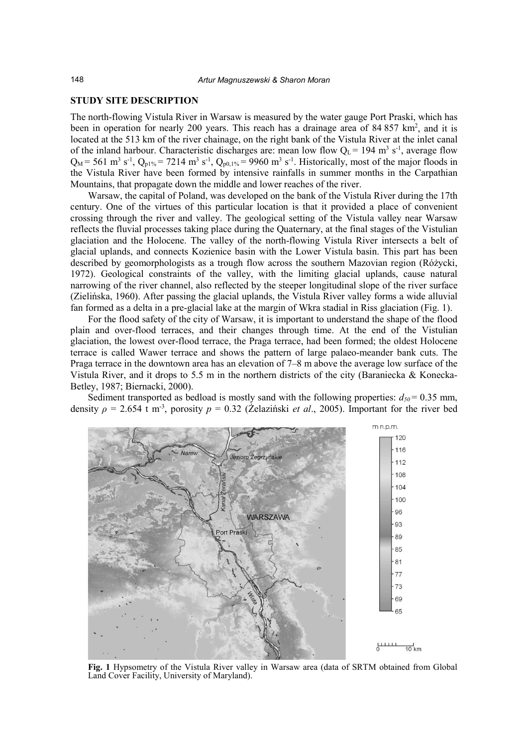#### **STUDY SITE DESCRIPTION**

The north-flowing Vistula River in Warsaw is measured by the water gauge Port Praski, which has been in operation for nearly 200 years. This reach has a drainage area of 84 857 km<sup>2</sup>, and it is located at the 513 km of the river chainage, on the right bank of the Vistula River at the inlet canal of the inland harbour. Characteristic discharges are: mean low flow  $Q_L = 194$  m<sup>3</sup> s<sup>-1</sup>, average flow  $Q_M$  = 561 m<sup>3</sup> s<sup>-1</sup>,  $Q_{p1\%}$  = 7214 m<sup>3</sup> s<sup>-1</sup>,  $Q_{p0,1\%}$  = 9960 m<sup>3</sup> s<sup>-1</sup>. Historically, most of the major floods in the Vistula River have been formed by intensive rainfalls in summer months in the Carpathian Mountains, that propagate down the middle and lower reaches of the river.

Warsaw, the capital of Poland, was developed on the bank of the Vistula River during the 17th century. One of the virtues of this particular location is that it provided a place of convenient crossing through the river and valley. The geological setting of the Vistula valley near Warsaw reflects the fluvial processes taking place during the Quaternary, at the final stages of the Vistulian glaciation and the Holocene. The valley of the north-flowing Vistula River intersects a belt of glacial uplands, and connects Kozienice basin with the Lower Vistula basin. This part has been described by geomorphologists as a trough flow across the southern Mazovian region (Różycki, 1972). Geological constraints of the valley, with the limiting glacial uplands, cause natural narrowing of the river channel, also reflected by the steeper longitudinal slope of the river surface (Zielińska, 1960). After passing the glacial uplands, the Vistula River valley forms a wide alluvial fan formed as a delta in a pre-glacial lake at the margin of Wkra stadial in Riss glaciation (Fig. 1).

For the flood safety of the city of Warsaw, it is important to understand the shape of the flood plain and over-flood terraces, and their changes through time. At the end of the Vistulian glaciation, the lowest over-flood terrace, the Praga terrace, had been formed; the oldest Holocene terrace is called Wawer terrace and shows the pattern of large palaeo-meander bank cuts. The Praga terrace in the downtown area has an elevation of 7–8 m above the average low surface of the Vistula River, and it drops to 5.5 m in the northern districts of the city (Baraniecka & Konecka-Betley, 1987; Biernacki, 2000).

Sediment transported as bedload is mostly sand with the following properties:  $d_{50} = 0.35$  mm, density *ρ* = 2.654 t m-3 , porosity *p* = 0.32 (Żelaziński *et al*., 2005). Important for the river bed



**Fig. 1** Hypsometry of the Vistula River valley in Warsaw area (data of SRTM obtained from Global Land Cover Facility, University of Maryland).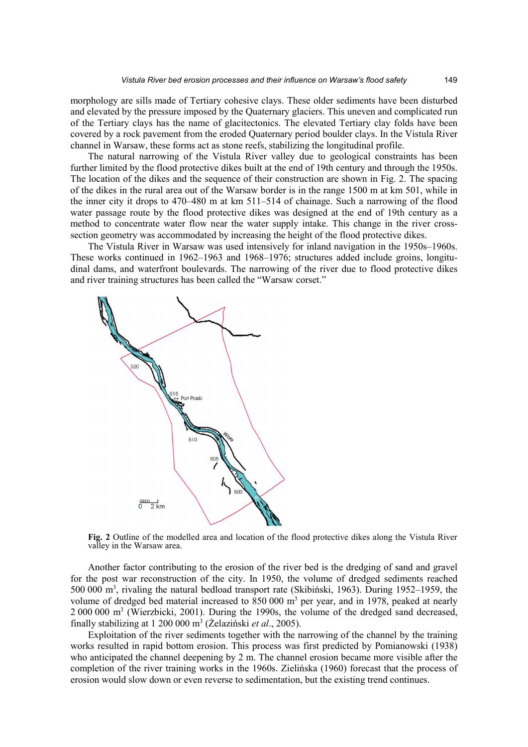morphology are sills made of Tertiary cohesive clays. These older sediments have been disturbed and elevated by the pressure imposed by the Quaternary glaciers. This uneven and complicated run of the Tertiary clays has the name of glacitectonics. The elevated Tertiary clay folds have been covered by a rock pavement from the eroded Quaternary period boulder clays. In the Vistula River channel in Warsaw, these forms act as stone reefs, stabilizing the longitudinal profile.

The natural narrowing of the Vistula River valley due to geological constraints has been further limited by the flood protective dikes built at the end of 19th century and through the 1950s. The location of the dikes and the sequence of their construction are shown in Fig. 2. The spacing of the dikes in the rural area out of the Warsaw border is in the range 1500 m at km 501, while in the inner city it drops to 470–480 m at km 511–514 of chainage. Such a narrowing of the flood water passage route by the flood protective dikes was designed at the end of 19th century as a method to concentrate water flow near the water supply intake. This change in the river crosssection geometry was accommodated by increasing the height of the flood protective dikes.

The Vistula River in Warsaw was used intensively for inland navigation in the 1950s–1960s. These works continued in 1962–1963 and 1968–1976; structures added include groins, longitudinal dams, and waterfront boulevards. The narrowing of the river due to flood protective dikes and river training structures has been called the "Warsaw corset."



**Fig. 2** Outline of the modelled area and location of the flood protective dikes along the Vistula River valley in the Warsaw area.

Another factor contributing to the erosion of the river bed is the dredging of sand and gravel for the post war reconstruction of the city. In 1950, the volume of dredged sediments reached 500 000 m3 , rivaling the natural bedload transport rate (Skibiński, 1963). During 1952–1959, the volume of dredged bed material increased to 850 000 m<sup>3</sup> per year, and in 1978, peaked at nearly  $2000\,000\,\mathrm{m}^3$  (Wierzbicki, 2001). During the 1990s, the volume of the dredged sand decreased, finally stabilizing at 1 200 000 m3 (Żelaziński *et al*., 2005).

Exploitation of the river sediments together with the narrowing of the channel by the training works resulted in rapid bottom erosion. This process was first predicted by Pomianowski (1938) who anticipated the channel deepening by 2 m. The channel erosion became more visible after the completion of the river training works in the 1960s. Zielińska (1960) forecast that the process of erosion would slow down or even reverse to sedimentation, but the existing trend continues.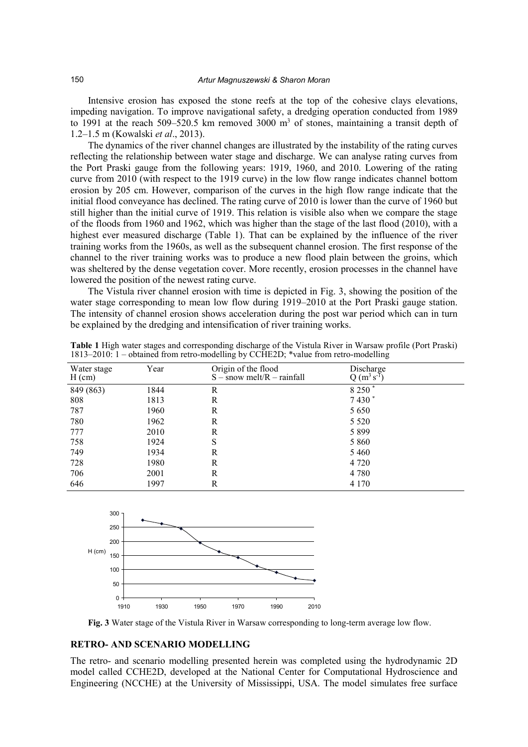Intensive erosion has exposed the stone reefs at the top of the cohesive clays elevations, impeding navigation. To improve navigational safety, a dredging operation conducted from 1989 to 1991 at the reach 509–520.5 km removed 3000  $m<sup>3</sup>$  of stones, maintaining a transit depth of 1.2–1.5 m (Kowalski *et al*., 2013).

The dynamics of the river channel changes are illustrated by the instability of the rating curves reflecting the relationship between water stage and discharge. We can analyse rating curves from the Port Praski gauge from the following years: 1919, 1960, and 2010. Lowering of the rating curve from 2010 (with respect to the 1919 curve) in the low flow range indicates channel bottom erosion by 205 cm. However, comparison of the curves in the high flow range indicate that the initial flood conveyance has declined. The rating curve of 2010 is lower than the curve of 1960 but still higher than the initial curve of 1919. This relation is visible also when we compare the stage of the floods from 1960 and 1962, which was higher than the stage of the last flood (2010), with a highest ever measured discharge (Table 1). That can be explained by the influence of the river training works from the 1960s, as well as the subsequent channel erosion. The first response of the channel to the river training works was to produce a new flood plain between the groins, which was sheltered by the dense vegetation cover. More recently, erosion processes in the channel have lowered the position of the newest rating curve.

The Vistula river channel erosion with time is depicted in Fig. 3, showing the position of the water stage corresponding to mean low flow during 1919–2010 at the Port Praski gauge station. The intensity of channel erosion shows acceleration during the post war period which can in turn be explained by the dredging and intensification of river training works.

| Water stage<br>$H$ (cm) | Year | Origin of the flood<br>$S$ – snow melt/R – rainfall | Discharge<br>$Q(m^3 s^5)$ |
|-------------------------|------|-----------------------------------------------------|---------------------------|
| 849 (863)               | 1844 | R                                                   | 8 250 $*$                 |
| 808                     | 1813 | R                                                   | $7430*$                   |
| 787                     | 1960 | R                                                   | 5 6 5 0                   |
| 780                     | 1962 | R                                                   | 5 5 2 0                   |
| 777                     | 2010 | R                                                   | 5 8 9 9                   |
| 758                     | 1924 | S                                                   | 5 8 6 0                   |
| 749                     | 1934 | R                                                   | 5460                      |
| 728                     | 1980 | R                                                   | 4 7 2 0                   |
| 706                     | 2001 | R                                                   | 4 7 8 0                   |
| 646                     | 1997 | R                                                   | 4 1 7 0                   |

**Table 1** High water stages and corresponding discharge of the Vistula River in Warsaw profile (Port Praski) 1813–2010: 1 – obtained from retro-modelling by CCHE2D; \*value from retro-modelling



**Fig. 3** Water stage of the Vistula River in Warsaw corresponding to long-term average low flow.

## **RETRO- AND SCENARIO MODELLING**

The retro- and scenario modelling presented herein was completed using the hydrodynamic 2D model called CCHE2D, developed at the National Center for Computational Hydroscience and Engineering (NCCHE) at the University of Mississippi, USA. The model simulates free surface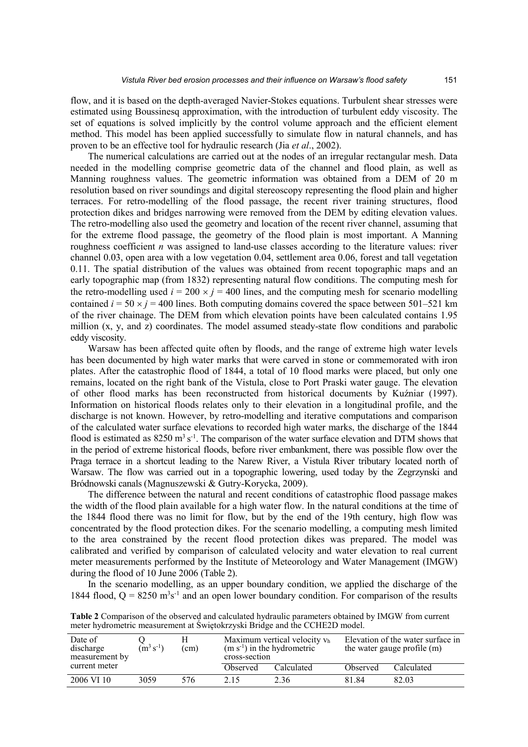flow, and it is based on the depth-averaged Navier-Stokes equations. Turbulent shear stresses were estimated using Boussinesq approximation, with the introduction of turbulent eddy viscosity. The set of equations is solved implicitly by the control volume approach and the efficient element method. This model has been applied successfully to simulate flow in natural channels, and has proven to be an effective tool for hydraulic research (Jia *et al*., 2002).

The numerical calculations are carried out at the nodes of an irregular rectangular mesh. Data needed in the modelling comprise geometric data of the channel and flood plain, as well as Manning roughness values. The geometric information was obtained from a DEM of 20 m resolution based on river soundings and digital stereoscopy representing the flood plain and higher terraces. For retro-modelling of the flood passage, the recent river training structures, flood protection dikes and bridges narrowing were removed from the DEM by editing elevation values. The retro-modelling also used the geometry and location of the recent river channel, assuming that for the extreme flood passage, the geometry of the flood plain is most important. A Manning roughness coefficient *n* was assigned to land-use classes according to the literature values: river channel 0.03, open area with a low vegetation 0.04, settlement area 0.06, forest and tall vegetation 0.11. The spatial distribution of the values was obtained from recent topographic maps and an early topographic map (from 1832) representing natural flow conditions. The computing mesh for the retro-modelling used  $i = 200 \times j = 400$  lines, and the computing mesh for scenario modelling contained  $i = 50 \times j = 400$  lines. Both computing domains covered the space between 501–521 km of the river chainage. The DEM from which elevation points have been calculated contains 1.95 million (x, y, and z) coordinates. The model assumed steady-state flow conditions and parabolic eddy viscosity.

Warsaw has been affected quite often by floods, and the range of extreme high water levels has been documented by high water marks that were carved in stone or commemorated with iron plates. After the catastrophic flood of 1844, a total of 10 flood marks were placed, but only one remains, located on the right bank of the Vistula, close to Port Praski water gauge. The elevation of other flood marks has been reconstructed from historical documents by Kuźniar (1997). Information on historical floods relates only to their elevation in a longitudinal profile, and the discharge is not known. However, by retro-modelling and iterative computations and comparison of the calculated water surface elevations to recorded high water marks, the discharge of the 1844 flood is estimated as  $8250 \text{ m}^3 \text{ s}^{-1}$ . The comparison of the water surface elevation and DTM shows that in the period of extreme historical floods, before river embankment, there was possible flow over the Praga terrace in a shortcut leading to the Narew River, a Vistula River tributary located north of Warsaw. The flow was carried out in a topographic lowering, used today by the Zegrzynski and Bródnowski canals (Magnuszewski & Gutry-Korycka, 2009).

The difference between the natural and recent conditions of catastrophic flood passage makes the width of the flood plain available for a high water flow. In the natural conditions at the time of the 1844 flood there was no limit for flow, but by the end of the 19th century, high flow was concentrated by the flood protection dikes. For the scenario modelling, a computing mesh limited to the area constrained by the recent flood protection dikes was prepared. The model was calibrated and verified by comparison of calculated velocity and water elevation to real current meter measurements performed by the Institute of Meteorology and Water Management (IMGW) during the flood of 10 June 2006 (Table 2).

In the scenario modelling, as an upper boundary condition, we applied the discharge of the 1844 flood,  $Q = 8250 \text{ m}^3\text{s}^{-1}$  and an open lower boundary condition. For comparison of the results

| Date of<br>discharge<br>measurement by | $(\mathbf{m}^3 \, \mathbf{s}^{-1})$ | (cm) | Maximum vertical velocity vh<br>$(m s-1)$ in the hydrometric<br>cross-section |            | Elevation of the water surface in<br>the water gauge profile (m) |            |
|----------------------------------------|-------------------------------------|------|-------------------------------------------------------------------------------|------------|------------------------------------------------------------------|------------|
| current meter                          |                                     |      | Observed                                                                      | Calculated | Observed                                                         | Calculated |
| 2006 VI 10                             | 3059                                | 576  | 2.15                                                                          | 2.36       | 81 84                                                            | 82.03      |

**Table 2** Comparison of the observed and calculated hydraulic parameters obtained by IMGW from current meter hydrometric measurement at Świętokrzyski Bridge and the CCHE2D model.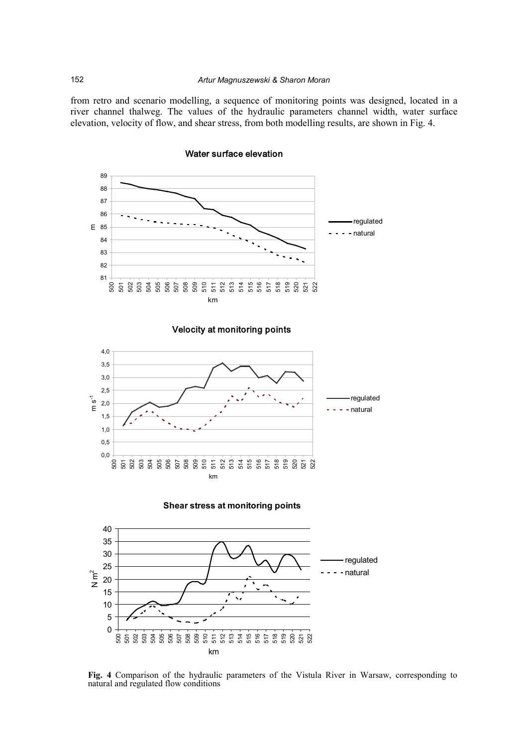from retro and scenario modelling, a sequence of monitoring points was designed, located in a river channel thalweg. The values of the hydraulic parameters channel width, water surface elevation, velocity of flow, and shear stress, from both modelling results, are shown in Fig. 4.



Water surface elevation









**Fig. 4** Comparison of the hydraulic parameters of the Vistula River in Warsaw, corresponding to natural and regulated flow conditions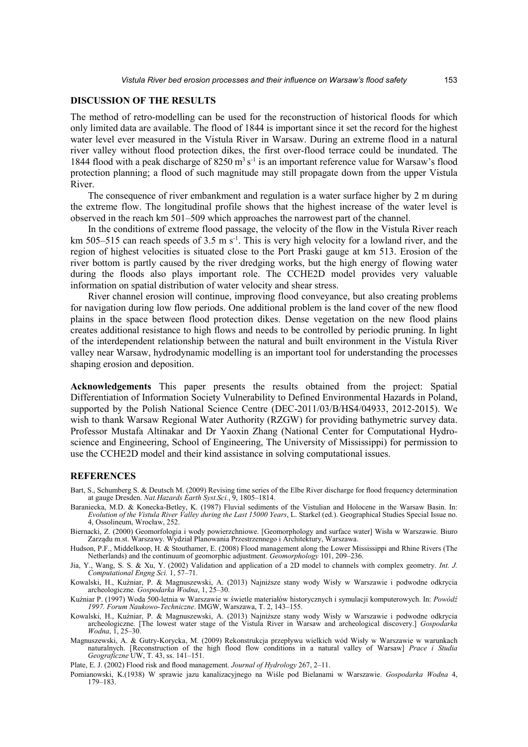## **DISCUSSION OF THE RESULTS**

The method of retro-modelling can be used for the reconstruction of historical floods for which only limited data are available. The flood of 1844 is important since it set the record for the highest water level ever measured in the Vistula River in Warsaw. During an extreme flood in a natural river valley without flood protection dikes, the first over-flood terrace could be inundated. The 1844 flood with a peak discharge of  $8250 \text{ m}^3 \text{ s}^{-1}$  is an important reference value for Warsaw's flood protection planning; a flood of such magnitude may still propagate down from the upper Vistula River.

The consequence of river embankment and regulation is a water surface higher by 2 m during the extreme flow. The longitudinal profile shows that the highest increase of the water level is observed in the reach km 501–509 which approaches the narrowest part of the channel.

In the conditions of extreme flood passage, the velocity of the flow in the Vistula River reach km 505–515 can reach speeds of 3.5 m  $s^{-1}$ . This is very high velocity for a lowland river, and the region of highest velocities is situated close to the Port Praski gauge at km 513. Erosion of the river bottom is partly caused by the river dredging works, but the high energy of flowing water during the floods also plays important role. The CCHE2D model provides very valuable information on spatial distribution of water velocity and shear stress.

River channel erosion will continue, improving flood conveyance, but also creating problems for navigation during low flow periods. One additional problem is the land cover of the new flood plains in the space between flood protection dikes. Dense vegetation on the new flood plains creates additional resistance to high flows and needs to be controlled by periodic pruning. In light of the interdependent relationship between the natural and built environment in the Vistula River valley near Warsaw, hydrodynamic modelling is an important tool for understanding the processes shaping erosion and deposition.

**Acknowledgements** This paper presents the results obtained from the project: Spatial Differentiation of Information Society Vulnerability to Defined Environmental Hazards in Poland, supported by the Polish National Science Centre (DEC-2011/03/B/HS4/04933, 2012-2015). We wish to thank Warsaw Regional Water Authority (RZGW) for providing bathymetric survey data. Professor Mustafa Altinakar and Dr Yaoxin Zhang (National Center for Computational Hydroscience and Engineering, School of Engineering, The University of Mississippi) for permission to use the CCHE2D model and their kind assistance in solving computational issues.

#### **REFERENCES**

Bart, S., Schumberg S. & Deutsch M. (2009) Revising time series of the Elbe River discharge for flood frequency determination at gauge Dresden. *Nat.Hazards Earth Syst.Sci.*, 9, 1805–1814.

Baraniecka, M.D. & Konecka-Betley, K. (1987) Fluvial sediments of the Vistulian and Holocene in the Warsaw Basin. In: *Evolution of the Vistula River Valley during the Last 15000 Years*, L. Starkel (ed.). Geographical Studies Special Issue no. 4, Ossolineum, Wrocław, 252.

Biernacki, Z. (2000) Geomorfologia i wody powierzchniowe. [Geomorphology and surface water] Wisła w Warszawie. Biuro Zarządu m.st. Warszawy. Wydział Planowania Przestrzennego i Architektury, Warszawa.

Hudson, P.F., Middelkoop, H. & Stouthamer, E. (2008) Flood management along the Lower Mississippi and Rhine Rivers (The Netherlands) and the continuum of geomorphic adjustment. *Geomorphology* 101, 209–236.

Jia, Y., Wang, S. S. & Xu, Y. (2002) Validation and application of a 2D model to channels with complex geometry. *Int. J. Computational Engng Sci.* 1, 57–71.

Kowalski, H., Kuźniar, P. & Magnuszewski, A. (2013) Najniższe stany wody Wisły w Warszawie i podwodne odkrycia archeologiczne. *Gospodarka Wodna*, 1, 25–30.

Kuźniar P. (1997) Woda 500-letnia w Warszawie w świetle materiałów historycznych i symulacji komputerowych. In: *Powódź 1997. Forum Naukowo-Techniczne*. IMGW, Warszawa, T. 2, 143–155.

- Kowalski, H., Kuźniar, P. & Magnuszewski, A. (2013) Najniższe stany wody Wisły w Warszawie i podwodne odkrycia archeologiczne. [The lowest water stage of the Vistula River in Warsaw and archeological discovery.] *Gospodarka Wodna*, 1, 25–30.
- Magnuszewski, A. & Gutry-Korycka, M. (2009) Rekonstrukcja przepływu wielkich wód Wisły w Warszawie w warunkach naturalnych. [Reconstruction of the high flood flow conditions in a natural valley of Warsaw] *Prace i Studia Geograficzne* UW, T. 43, ss. 141–151.

Plate, E. J. (2002) Flood risk and flood management. *Journal of Hydrology* 267, 2–11.

Pomianowski, K.(1938) W sprawie jazu kanalizacyjnego na Wiśle pod Bielanami w Warszawie. *Gospodarka Wodna* 4, 179–183.